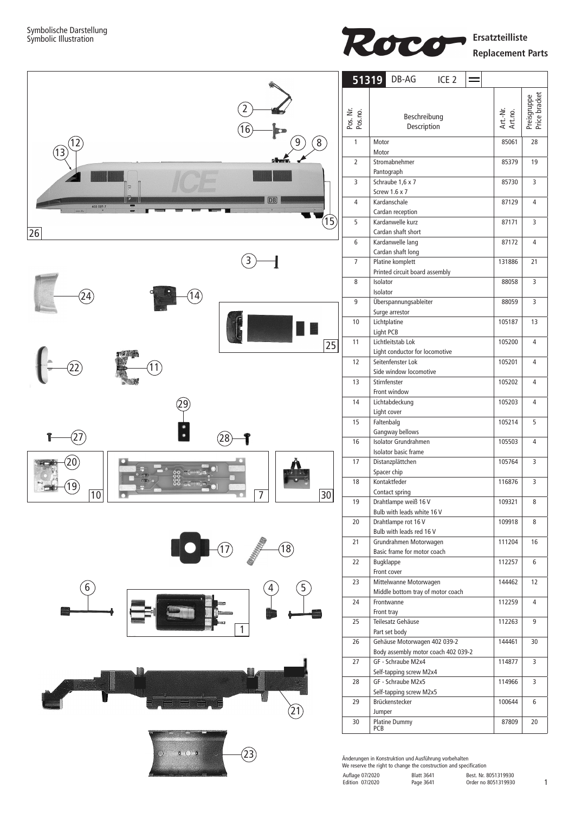